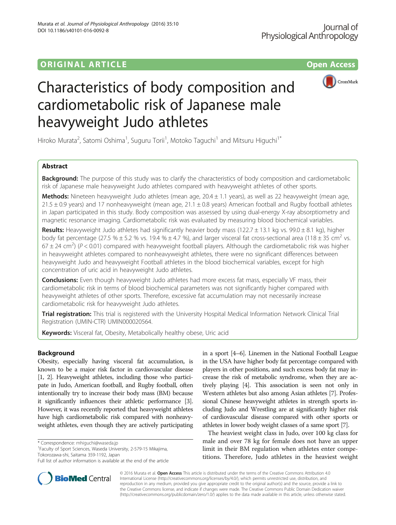## original and the open Access of the Open Access of the Open Access of the Open Access of the Open Access of the Open Access of the Open Access of the Open Access of the Open Access of the Open Access of the Open Access of



# Characteristics of body composition and cardiometabolic risk of Japanese male heavyweight Judo athletes

Hiroko Murata<sup>2</sup>, Satomi Oshima<sup>1</sup>, Suguru Torii<sup>1</sup>, Motoko Taguchi<sup>1</sup> and Mitsuru Higuchi<sup>1\*</sup>

## Abstract

**Background:** The purpose of this study was to clarify the characteristics of body composition and cardiometabolic risk of Japanese male heavyweight Judo athletes compared with heavyweight athletes of other sports.

**Methods:** Nineteen heavyweight Judo athletes (mean age,  $20.4 \pm 1.1$  years), as well as 22 heavyweight (mean age,  $21.5 \pm 0.9$  years) and 17 nonheavyweight (mean age,  $21.1 \pm 0.8$  years) American football and Rugby football athletes in Japan participated in this study. Body composition was assessed by using dual-energy X-ray absorptiometry and magnetic resonance imaging. Cardiometabolic risk was evaluated by measuring blood biochemical variables.

Results: Heavyweight Judo athletes had significantly heavier body mass (122.7  $\pm$  13.1 kg vs. 99.0  $\pm$  8.1 kg), higher body fat percentage (27.5 %  $\pm$  5.2 % vs. 19.4 %  $\pm$  4.7 %), and larger visceral fat cross-sectional area (118  $\pm$  35 cm<sup>2</sup> vs.  $67 \pm 24$  cm<sup>2</sup>) (P < 0.01) compared with heavyweight football players. Although the cardiometabolic risk was higher in heavyweight athletes compared to nonheavyweight athletes, there were no significant differences between heavyweight Judo and heavyweight Football athletes in the blood biochemical variables, except for high concentration of uric acid in heavyweight Judo athletes.

**Conclusions:** Even though heavyweight Judo athletes had more excess fat mass, especially VF mass, their cardiometabolic risk in terms of blood biochemical parameters was not significantly higher compared with heavyweight athletes of other sports. Therefore, excessive fat accumulation may not necessarily increase cardiometabolic risk for heavyweight Judo athletes.

Trial registration: This trial is registered with the University Hospital Medical Information Network Clinical Trial Registration (UMIN-CTR) [UMIN000020564.](http://www.umin.ac.jp/ctr/index.htm)

Keywords: Visceral fat, Obesity, Metabolically healthy obese, Uric acid

## Background

Obesity, especially having visceral fat accumulation, is known to be a major risk factor in cardiovascular disease [[1](#page-5-0), [2](#page-5-0)]. Heavyweight athletes, including those who participate in Judo, American football, and Rugby football, often intentionally try to increase their body mass (BM) because it significantly influences their athletic performance [[3](#page-5-0)]. However, it was recently reported that heavyweight athletes have high cardiometabolic risk compared with nonheavyweight athletes, even though they are actively participating

\* Correspondence: [mhiguchi@waseda.jp](mailto:mhiguchi@waseda.jp) <sup>1</sup>

Faculty of Sport Sciences, Waseda University, 2-579-15 Mikajima, Tokorozawa-shi, Saitama 359-1192, Japan

in a sport [\[4](#page-5-0)–[6](#page-5-0)]. Linemen in the National Football League in the USA have higher body fat percentage compared with players in other positions, and such excess body fat may increase the risk of metabolic syndrome, when they are actively playing [[4](#page-5-0)]. This association is seen not only in Western athletes but also among Asian athletes [\[7\]](#page-5-0). Professional Chinese heavyweight athletes in strength sports including Judo and Wrestling are at significantly higher risk of cardiovascular disease compared with other sports or athletes in lower body weight classes of a same sport [[7](#page-5-0)].

The heaviest weight class in Judo, over 100 kg class for male and over 78 kg for female does not have an upper limit in their BM regulation when athletes enter competitions. Therefore, Judo athletes in the heaviest weight



© 2016 Murata et al. Open Access This article is distributed under the terms of the Creative Commons Attribution 4.0 International License [\(http://creativecommons.org/licenses/by/4.0/](http://creativecommons.org/licenses/by/4.0/)), which permits unrestricted use, distribution, and reproduction in any medium, provided you give appropriate credit to the original author(s) and the source, provide a link to the Creative Commons license, and indicate if changes were made. The Creative Commons Public Domain Dedication waiver [\(http://creativecommons.org/publicdomain/zero/1.0/](http://creativecommons.org/publicdomain/zero/1.0/)) applies to the data made available in this article, unless otherwise stated.

Full list of author information is available at the end of the article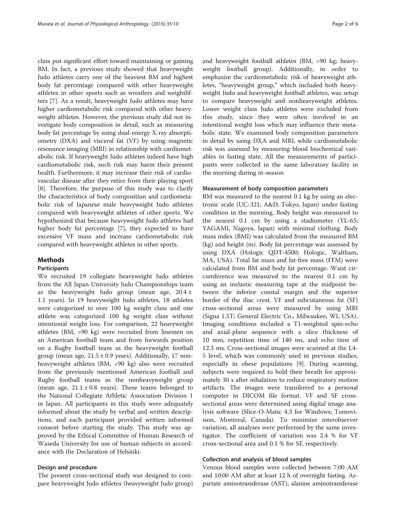class put significant effort toward maintaining or gaining BM. In fact, a previous study showed that heavyweight Judo athletes carry one of the heaviest BM and highest body fat percentage compared with other heavyweight athletes in other sports such as wrestlers and weightlifters [\[7](#page-5-0)]. As a result, heavyweight Judo athletes may have higher cardiometabolic risk compared with other heavyweight athletes. However, the previous study did not investigate body composition in detail, such as measuring body fat percentage by using dual-energy X-ray absorptiometry (DXA) and visceral fat (VF) by using magnetic resonance imaging (MRI) in relationship with cardiometabolic risk. If heavyweight Judo athletes indeed have high cardiometabolic risk, such risk may harm their present health. Furthermore, it may increase their risk of cardiovascular disease after they retire from their playing sport [[8\]](#page-5-0). Therefore, the purpose of this study was to clarify the characteristics of body composition and cardiometabolic risk of Japanese male heavyweight Judo athletes compared with heavyweight athletes of other sports. We hypothesized that because heavyweight Judo athletes had higher body fat percentage [\[7](#page-5-0)], they expected to have excessive VF mass and increase cardiometabolic risk compared with heavyweight athletes in other sports.

## Methods

#### Participants

We recruited 19 collegiate heavyweight Judo athletes from the All Japan University Judo Championships team as the heavyweight Judo group (mean age,  $20.4 \pm$ 1.1 years). In 19 heavyweight Judo athletes, 18 athletes were categorized in over 100 kg weight class and one athlete was categorized 100 kg weight class without intentional weight loss. For comparison, 22 heavyweight athletes (BM, >90 kg) were recruited from linemen on an American football team and from forwards position on a Rugby football team as the heavyweight football group (mean age,  $21.5 \pm 0.9$  years). Additionally, 17 nonheavyweight athletes (BM, <90 kg) also were recruited from the previously mentioned American football and Rugby football teams as the nonheavyweight group (mean age,  $21.1 \pm 0.8$  years). These teams belonged to the National Collegiate Athletic Association Division 1 in Japan. All participants in this study were adequately informed about the study by verbal and written descriptions, and each participant provided written informed consent before starting the study. This study was approved by the Ethical Committee of Human Research of Waseda University for use of human subjects in accordance with the Declaration of Helsinki.

### Design and procedure

The present cross-sectional study was designed to compare heavyweight Judo athletes (heavyweight Judo group) and heavyweight football athletes (BM, >90 kg; heavyweight football group). Additionally, in order to emphasize the cardiometabolic risk of heavyweight athletes, "heavyweight group," which included both heavyweight Judo and heavyweight football athletes, was setup to compare heavyweight and nonheavyweight athletes. Lower weight class Judo athletes were excluded from this study, since they were often involved in an intentional weight loss which may influence their metabolic state. We examined body composition parameters in detail by using DXA and MRI, while cardiometabolic risk was assessed by measuring blood biochemical variables in fasting state. All the measurements of participants were collected in the same laboratory facility in the morning during in-season

#### Measurement of body composition parameters

BM was measured to the nearest 0.1 kg by using an electronic scale (UC-321; A&D, Tokyo, Japan) under fasting condition in the morning. Body height was measured to the nearest 0.1 cm by using a stadiometer (YL-65; YAGAMI, Nagoya, Japan) with minimal clothing. Body mass index (BMI) was calculated from the measured BM (kg) and height (m). Body fat percentage was assessed by using DXA (Hologic QDT-4500; Hologic, Waltham, MA, USA). Total fat mass and fat-free mass (FFM) were calculated from BM and body fat percentage. Waist circumference was measured to the nearest 0.1 cm by using an inelastic measuring tape at the midpoint between the inferior coastal margin and the superior border of the iliac crest. VF and subcutaneous fat (SF) cross-sectional areas were measured by using MRI (Signa 1.5T; General Electric Co., Milwaukee, WI, USA). Imaging conditions included a T1-weighted spin-echo and axial-plane sequence with a slice thickness of 10 mm, repetition time of 140 ms, and echo time of 12.3 ms. Cross-sectional images were scanned at the L4- 5 level, which was commonly used in previous studies, especially in obese populations [\[9](#page-5-0)]. During scanning, subjects were required to hold their breath for approximately 30 s after inhalation to reduce respiratory motion artifacts. The images were transferred to a personal computer in DICOM file format. VF and SF crosssectional areas were determined using digital image analysis software (Slice-O-Matic 4.3 for Windows; Tomovision, Montreal, Canada). To minimize interobserver variation, all analyses were performed by the same investigator. The coefficient of variation was 2.4 % for VF cross-sectional area and 0.1 % for SF, respectively.

## Collection and analysis of blood samples

Venous blood samples were collected between 7:00 AM and 10:00 AM after at least 12 h of overnight fasting. Aspartate aminotransferase (AST), alanine aminotransferase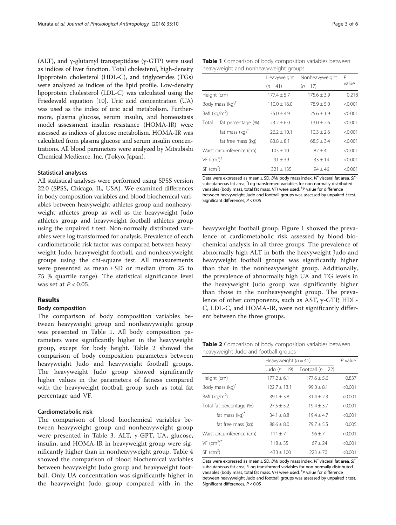<span id="page-2-0"></span>(ALT), and γ-glutamyl transpeptidase (γ-GTP) were used as indices of liver function. Total cholesterol, high-density lipoprotein cholesterol (HDL-C), and triglycerides (TGs) were analyzed as indices of the lipid profile. Low-density lipoprotein cholesterol (LDL-C) was calculated using the Friedewald equation [[10](#page-5-0)]. Uric acid concentration (UA) was used as the index of uric acid metabolism. Furthermore, plasma glucose, serum insulin, and homeostasis model assessment insulin resistance (HOMA-IR) were assessed as indices of glucose metabolism. HOMA-IR was calculated from plasma glucose and serum insulin concentrations. All blood parameters were analyzed by Mitsubishi Chemical Medience, Inc. (Tokyo, Japan).

### Statistical analyses

All statistical analyses were performed using SPSS version 22.0 (SPSS, Chicago, IL, USA). We examined differences in body composition variables and blood biochemical variables between heavyweight athletes group and nonheavyweight athletes group as well as the heavyweight Judo athletes group and heavyweight football athletes group using the unpaired  $t$  test. Non-normally distributed variables were log transformed for analysis. Prevalence of each cardiometabolic risk factor was compared between heavyweight Judo, heavyweight football, and nonheavyweight groups using the chi-square test. All measurements were presented as mean ± SD or median (from 25 to 75 % quartile range). The statistical significance level was set at  $P < 0.05$ .

## Results

### Body composition

The comparison of body composition variables between heavyweight group and nonheavyweight group was presented in Table 1. All body composition parameters were significantly higher in the heavyweight group, except for body height. Table 2 showed the comparison of body composition parameters between heavyweight Judo and heavyweight football groups. The heavyweight Judo group showed significantly higher values in the parameters of fatness compared with the heavyweight football group such as total fat percentage and VF.

## Cardiometabolic risk

The comparison of blood biochemical variables between heavyweight group and nonheavyweight group were presented in Table [3.](#page-3-0) ALT, γ-GPT, UA, glucose, insulin, and HOMA-IR in heavyweight group were significantly higher than in nonheavyweight group. Table [4](#page-3-0) showed the comparison of blood biochemical variables between heavyweight Judo group and heavyweight football. Only UA concentration was significantly higher in the heavyweight Judo group compared with in the

|                                    |                           | Heavyweight      | Nonheavyweight  | P                  |
|------------------------------------|---------------------------|------------------|-----------------|--------------------|
|                                    |                           | $(n=41)$         | $(n = 17)$      | value <sup>†</sup> |
| Height (cm)                        |                           | $177.4 \pm 5.7$  | $175.6 \pm 3.9$ | 0.218              |
| Body mass $(kq)^{\dagger}$         |                           | $110.0 \pm 16.0$ | $78.9 \pm 5.0$  | < 0.001            |
| BMI ( $kg/m2$ )                    |                           | $35.0 \pm 4.9$   | $25.6 + 1.9$    | < 0.001            |
| Total                              | fat percentage (%)        | $23.2 \pm 6.0$   | $13.0 + 2.6$    | < 0.001            |
|                                    | fat mass $(kq)^{\dagger}$ | $26.2 + 10.1$    | $10.3 + 2.6$    | < 0.001            |
|                                    | fat free mass (kg)        | $83.8 \pm 8.1$   | $68.5 + 3.4$    | < 0.001            |
| Waist circumference (cm)           |                           | $103 \pm 10$     | $82 \pm 4$      | < 0.001            |
| VF (cm <sup>2</sup> ) <sup>†</sup> |                           | $91 \pm 39$      | $33 \pm 14$     | < 0.001            |
| $SF$ (cm <sup>2</sup> )            |                           | $321 \pm 135$    | $94 + 46$       | < 0.001            |

Data were expressed as mean ± SD. BMI body mass index, VF visceral fat area, SF subcutaneous fat area; \* Log-transformed variables for non-normally distributed variables (body mass, total fat mass, VF) were used.  $\frac{1}{r}P$  value for difference<br>between beaugusight, lugo and football groups was assessed by unpaired between heavyweight Judo and football groups was assessed by unpaired t test. Significant differences, P < 0.05

heavyweight football group. Figure [1](#page-4-0) showed the prevalence of cardiometabolic risk assessed by blood biochemical analysis in all three groups. The prevalence of abnormally high ALT in both the heavyweight Judo and heavyweight football groups was significantly higher than that in the nonheavyweight group. Additionally, the prevalence of abnormally high UA and TG levels in the heavyweight Judo group was significantly higher than those in the nonheavyweight group. The prevalence of other components, such as AST, γ-GTP, HDL-C, LDL-C, and HOMA-IR, were not significantly different between the three groups.

Table 2 Comparison of body composition variables between heavyweight Judo and football groups

|                                      | Heavyweight $(n = 41)$ |                     | $P$ value <sup>†</sup> |
|--------------------------------------|------------------------|---------------------|------------------------|
|                                      | Judo $(n=19)$          | Football $(n = 22)$ |                        |
| Height (cm)                          | $177.2 \pm 6.1$        | $177.6 + 5.6$       | 0.837                  |
| Body mass (kg) <sup>*</sup>          | $122.7 \pm 13.1$       | $99.0 + 8.1$        | < 0.001                |
| BMI ( $kg/m2$ )                      | $39.1 + 3.8$           | $31.4 + 2.3$        | < 0.001                |
| Total fat percentage (%)             | $27.5 + 5.2$           | $19.4 + 3.7$        | < 0.001                |
| fat mass $(kq)^{n}$                  | $34.1 + 8.8$           | $19.4 + 4.7$        | < 0.001                |
| fat free mass (kg)                   | $88.6 + 8.0$           | $79.7 + 5.5$        | 0.005                  |
| Waist circumference (cm)             | $111 + 7$              | $96 + 7$            | < 0.001                |
| $VF$ (cm <sup>2</sup> ) <sup>*</sup> | $118 + 35$             | $67 + 24$           | < 0.001                |
| $SF$ (cm <sup>2</sup> )              | $433 + 100$            | $223 + 70$          | < 0.001                |

Data were expressed as mean ± SD. BMI body mass index, VF visceral fat area, SF subcutaneous fat area; \*Log-transformed variables for non-normally distributed variables (body mass, total fat mass, VF) were used.  $\frac{1}{r}P$  value for difference<br>between beaugusight, lugo and football groups was assessed by unpaired between heavyweight Judo and football groups was assessed by unpaired t test. Significant differences, P < 0.05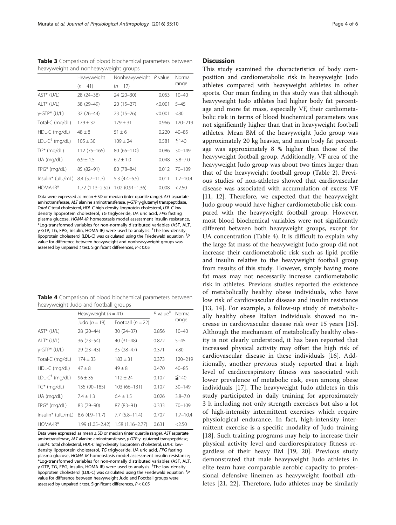<span id="page-3-0"></span>Table 3 Comparison of blood biochemical parameters between heavyweight and nonheavyweight groups

|                           | Heavyweight      | Nonheavyweight $P$ value <sup>#</sup> |         | Normal       |
|---------------------------|------------------|---------------------------------------|---------|--------------|
|                           | $(n=41)$         | $(n = 17)$                            |         | range        |
| $AST*(U/L)$               | 28 (24-38)       | 24 (20-30)                            | 0.053   | $10 - 40$    |
| $ALT^*$ (U/L)             | 38 (29-49)       | $20(15-27)$                           | < 0.001 | $5 - 45$     |
| $v$ -GTP* (U/L)           | 32 (26–44)       | $23(15-26)$                           | < 0.001 | <80          |
| Total-C (mg/dL)           | $179 \pm 32$     | $179 \pm 31$                          | 0.966   | $120 - 219$  |
| HDL-C (mg/dL)             | $48 + 8$         | $51 + 6$                              | 0.220   | $40 - 85$    |
| $LDL-C^{\dagger}$ (mg/dL) | $105 + 30$       | $109 + 24$                            | 0.581   | $\leq$ 140   |
| $TG^*$ (mg/dL)            | 112 (75-165)     | 80 (66-110)                           | 0.086   | $30 - 149$   |
| UA (mg/dL)                | $6.9 \pm 1.5$    | $6.2 \pm 1.0$                         | 0.048   | $3.8 - 7.0$  |
| $FPG^*$ (mg/dL)           | 85 (82-91)       | $80(78 - 84)$                         | 0.012   | $70 - 109$   |
| $Insulin*(\mu U/mL)$      | $8.4(5.7-11.3)$  | $5.3(4.4-6.5)$                        | 0.011   | $1.7 - 10.4$ |
| HOMA-IR*                  | 1.72 (1.13–2.52) | $1.02(0.91 - 1.36)$                   | 0.008   | 2.50         |
|                           |                  |                                       |         |              |

Data were expressed as mean ± SD or median (inter quartile range). AST aspartate aminotransferase, ALT alanine aminotransferase, γ-GTP γ-glutamyl transpeptidase,<br>Total C total cholesterol, HDLC bigh-density linoprotein cholesterol, LDLC low-Total-C total cholesterol, HDL-C high-density lipoprotein cholesterol, LDL-C lowdensity lipoprotein cholesterol, TG triglyceride, UA uric acid, FPG fasting plasma glucose, HOMA-IR homeostasis model assessment insulin resistance, \*Log-transformed variables for non-normally distributed variables (AST, ALT, γ-GTP, TG, FPG, insulin, HOMA-IR) were used to analysis. † The low-density lipoprotein cholesterol (LDL-C) was calculated using the Friedewald equation.<sup>‡</sup>P<br>value for difference between beavwweight and nonbeavwweight groups was value for difference between heavyweight and nonheavyweight groups was assessed by unpaired  $t$  test. Significant differences,  $P < 0.05$ 

| Table 4 Comparison of blood biochemical parameters between |  |  |
|------------------------------------------------------------|--|--|
| heavyweight Judo and football groups                       |  |  |

|                       | Heavyweight $(n = 41)$ | $P$ value <sup><math>#</math></sup> | Normal |              |
|-----------------------|------------------------|-------------------------------------|--------|--------------|
|                       | Judo $(n=19)$          | Football $(n = 22)$                 |        | range        |
| $AST*(U/L)$           | 28 (20-44)             | $30(24-37)$                         | 0.856  | $10 - 40$    |
| $ALT^*$ (U/L)         | $36(23 - 54)$          | 40 (31 - 48)                        | 0.872  | $5 - 45$     |
| $v$ -GTP* (U/L)       | 29 (23-43)             | 35 (28-47)                          | 0.371  | <80          |
| Total-C (mg/dL)       | $174 \pm 33$           | $183 \pm 31$                        | 0.373  | 120-219      |
| HDL-C (mg/dL)         | $47 \pm 8$             | $49 \pm 8$                          | 0.470  | $40 - 85$    |
| $LDL-C† (mg/dL)$      | $96 \pm 35$            | $112 \pm 24$                        | 0.107  | $\leq$ 140   |
| $TG^*$ (mg/dL)        | 135 (90-185)           | 103 (66-131)                        | 0.107  | $30 - 149$   |
| UA (mg/dL)            | $7.4 \pm 1.3$          | $6.4 \pm 1.5$                       | 0.026  | $3.8 - 7.0$  |
| FPG* (mg/dL)          | 83 (79-90)             | 87 (83-91)                          | 0.333  | $70 - 109$   |
| $Insulin^*(\mu U/mL)$ | $8.6(4.9 - 11.7)$      | $7.7(5.8 - 11.4)$                   | 0.707  | $1.7 - 10.4$ |
| $HOMA-IR*$            | 1.99 (1.05–2.42)       | $1.58(1.16 - 2.77)$                 | 0.631  | 2.50         |

Data were expressed as mean ± SD or median (inter quartile range). AST aspartate aminotransferase, ALT alanine aminotransferase, <sup>γ</sup>-GTP <sup>γ</sup>- glutamyl transpeptidase, Total-C total cholesterol, HDL-C high-density lipoprotein cholesterol, LDL-C lowdensity lipoprotein cholesterol, TG triglyceride, UA uric acid, FPG fasting plasma glucose, HOMA-IR homeostasis model assessment insulin resistance; \*Log-transformed variables for non-normally distributed variables (AST, ALT, γ-GTP, TG, FPG, insulin, HOMA-IR) were used to analysis. † The low-density lipoprotein cholesterol (LDL-C) was calculated using the Friedewald equation. <sup>‡</sup>P<br>Value for difference between heaveweight, ludo and Football groups were value for difference between heavyweight Judo and Football groups were assessed by unpaired  $t$  test. Significant differences,  $P < 0.05$ 

## **Discussion**

This study examined the characteristics of body composition and cardiometabolic risk in heavyweight Judo athletes compared with heavyweight athletes in other sports. Our main finding in this study was that although heavyweight Judo athletes had higher body fat percentage and more fat mass, especially VF, their cardiometabolic risk in terms of blood biochemical parameters was not significantly higher than that in heavyweight football athletes. Mean BM of the heavyweight Judo group was approximately 20 kg heavier, and mean body fat percentage was approximately 8 % higher than those of the heavyweight football group. Additionally, VF area of the heavyweight Judo group was about two times larger than that of the heavyweight football group (Table [2\)](#page-2-0). Previous studies of non-athletes showed that cardiovascular disease was associated with accumulation of excess VF [[11, 12\]](#page-5-0). Therefore, we expected that the heavyweight Judo group would have higher cardiometabolic risk compared with the heavyweight football group. However, most blood biochemical variables were not significantly different between both heavyweight groups, except for UA concentration (Table 4). It is difficult to explain why the large fat mass of the heavyweight Judo group did not increase their cardiometabolic risk such as lipid profile and insulin relative to the heavyweight football group from results of this study. However, simply having more fat mass may not necessarily increase cardiometabolic risk in athletes. Previous studies reported the existence of metabolically healthy obese individuals, who have low risk of cardiovascular disease and insulin resistance [[13, 14](#page-5-0)]. For example, a follow-up study of metabolically healthy obese Italian individuals showed no increase in cardiovascular disease risk over 15 years [\[15](#page-5-0)]. Although the mechanism of metabolically healthy obesity is not clearly understood, it has been reported that increased physical activity may offset the high risk of cardiovascular disease in these individuals [[16\]](#page-5-0). Additionally, another previous study reported that a high level of cardiorespiratory fitness was associated with lower prevalence of metabolic risk, even among obese individuals [\[17](#page-5-0)]. The heavyweight Judo athletes in this study participated in daily training for approximately 3 h including not only strength exercises but also a lot of high-intensity intermittent exercises which require physiological endurance. In fact, high-intensity intermittent exercise is a specific modality of Judo training [[18\]](#page-5-0). Such training programs may help to increase their physical activity level and cardiorespiratory fitness regardless of their heavy BM [[19, 20\]](#page-5-0). Previous study demonstrated that male heavyweight Judo athletes in elite team have comparable aerobic capacity to professional defensive linemen as heavyweight football athletes [\[21](#page-5-0), [22\]](#page-5-0). Therefore, Judo athletes may be similarly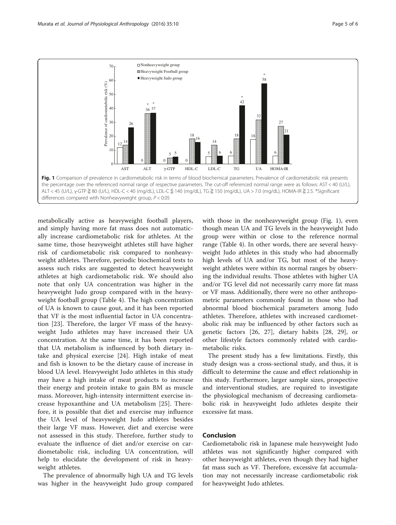<span id="page-4-0"></span>

metabolically active as heavyweight football players, and simply having more fat mass does not automatically increase cardiometabolic risk for athletes. At the same time, those heavyweight athletes still have higher risk of cardiometabolic risk compared to nonheavyweight athletes. Therefore, periodic biochemical tests to assess such risks are suggested to detect heavyweight athletes at high cardiometabolic risk. We should also note that only UA concentration was higher in the heavyweight Judo group compared with in the heavyweight football group (Table [4](#page-3-0)). The high concentration of UA is known to cause gout, and it has been reported that VF is the most influential factor in UA concentration [[23\]](#page-5-0). Therefore, the larger VF mass of the heavyweight Judo athletes may have increased their UA concentration. At the same time, it has been reported that UA metabolism is influenced by both dietary intake and physical exercise [[24\]](#page-5-0). High intake of meat and fish is known to be the dietary cause of increase in blood UA level. Heavyweight Judo athletes in this study may have a high intake of meat products to increase their energy and protein intake to gain BM as muscle mass. Moreover, high-intensity intermittent exercise increase hypoxanthine and UA metabolism [\[25](#page-5-0)]. Therefore, it is possible that diet and exercise may influence the UA level of heavyweight Judo athletes besides their large VF mass. However, diet and exercise were not assessed in this study. Therefore, further study to evaluate the influence of diet and/or exercise on cardiometabolic risk, including UA concentration, will help to elucidate the development of risk in heavyweight athletes.

The prevalence of abnormally high UA and TG levels was higher in the heavyweight Judo group compared

with those in the nonheavyweight group (Fig. 1), even though mean UA and TG levels in the heavyweight Judo group were within or close to the reference normal range (Table [4](#page-3-0)). In other words, there are several heavyweight Judo athletes in this study who had abnormally high levels of UA and/or TG, but most of the heavyweight athletes were within its normal ranges by observing the individual results. Those athletes with higher UA and/or TG level did not necessarily carry more fat mass or VF mass. Additionally, there were no other anthropometric parameters commonly found in those who had abnormal blood biochemical parameters among Judo athletes. Therefore, athletes with increased cardiometabolic risk may be influenced by other factors such as genetic factors [[26, 27](#page-5-0)], dietary habits [[28, 29\]](#page-5-0), or other lifestyle factors commonly related with cardiometabolic risks.

The present study has a few limitations. Firstly, this study design was a cross-sectional study, and thus, it is difficult to determine the cause and effect relationship in this study. Furthermore, larger sample sizes, prospective and interventional studies, are required to investigate the physiological mechanism of decreasing cardiometabolic risk in heavyweight Judo athletes despite their excessive fat mass.

## Conclusion

Cardiometabolic risk in Japanese male heavyweight Judo athletes was not significantly higher compared with other heavyweight athletes, even though they had higher fat mass such as VF. Therefore, excessive fat accumulation may not necessarily increase cardiometabolic risk for heavyweight Judo athletes.